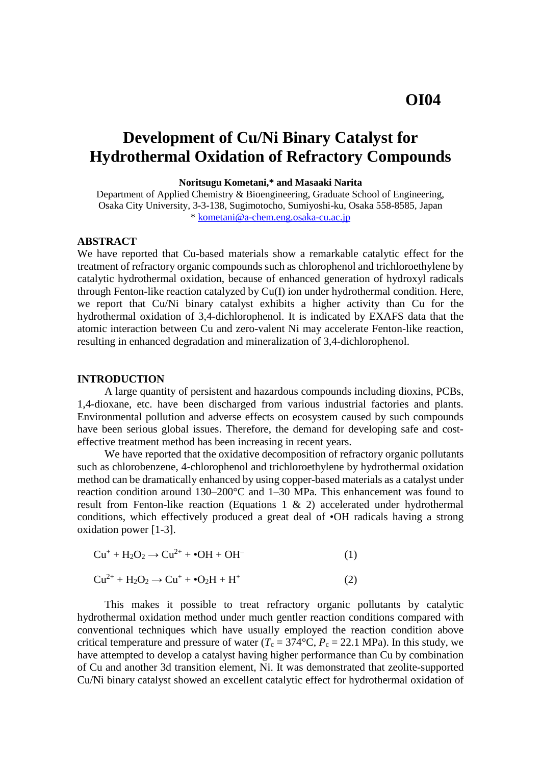# **Development of Cu/Ni Binary Catalyst for Hydrothermal Oxidation of Refractory Compounds**

**Noritsugu Kometani,\* and Masaaki Narita**

Department of Applied Chemistry & Bioengineering, Graduate School of Engineering, Osaka City University, 3-3-138, Sugimotocho, Sumiyoshi-ku, Osaka 558-8585, Japan \* [kometani@a-chem.eng.osaka-cu.ac.jp](mailto:kometani@a-chem.eng.osaka-cu.ac.jp)

#### **ABSTRACT**

We have reported that Cu-based materials show a remarkable catalytic effect for the treatment of refractory organic compounds such as chlorophenol and trichloroethylene by catalytic hydrothermal oxidation, because of enhanced generation of hydroxyl radicals through Fenton-like reaction catalyzed by Cu(I) ion under hydrothermal condition. Here, we report that Cu/Ni binary catalyst exhibits a higher activity than Cu for the hydrothermal oxidation of 3,4-dichlorophenol. It is indicated by EXAFS data that the atomic interaction between Cu and zero-valent Ni may accelerate Fenton-like reaction, resulting in enhanced degradation and mineralization of 3,4-dichlorophenol.

#### **INTRODUCTION**

A large quantity of persistent and hazardous compounds including dioxins, PCBs, 1,4-dioxane, etc. have been discharged from various industrial factories and plants. Environmental pollution and adverse effects on ecosystem caused by such compounds have been serious global issues. Therefore, the demand for developing safe and costeffective treatment method has been increasing in recent years.

We have reported that the oxidative decomposition of refractory organic pollutants such as chlorobenzene, 4-chlorophenol and trichloroethylene by hydrothermal oxidation method can be dramatically enhanced by using copper-based materials as a catalyst under reaction condition around  $130-200^{\circ}$ C and  $1-30$  MPa. This enhancement was found to result from Fenton-like reaction (Equations 1 & 2) accelerated under hydrothermal conditions, which effectively produced a great deal of •OH radicals having a strong oxidation power [1-3].

$$
Cu^{+} + H_{2}O_{2} \rightarrow Cu^{2+} + \bullet OH + OH^{-}
$$
 (1)

$$
Cu^{2+} + H_2O_2 \rightarrow Cu^+ + \cdot O_2H + H^+ \tag{2}
$$

This makes it possible to treat refractory organic pollutants by catalytic hydrothermal oxidation method under much gentler reaction conditions compared with conventional techniques which have usually employed the reaction condition above critical temperature and pressure of water  $(T_c = 374^{\circ}C, P_c = 22.1 \text{ MPa})$ . In this study, we have attempted to develop a catalyst having higher performance than Cu by combination of Cu and another 3d transition element, Ni. It was demonstrated that zeolite-supported Cu/Ni binary catalyst showed an excellent catalytic effect for hydrothermal oxidation of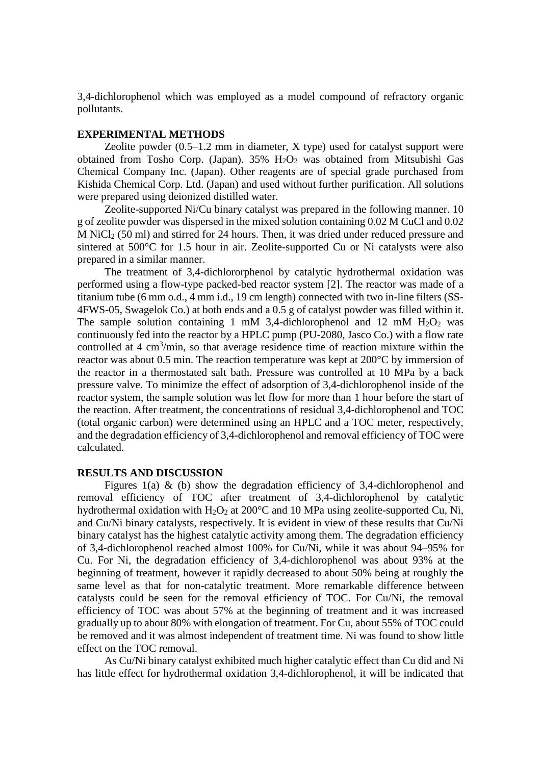3,4-dichlorophenol which was employed as a model compound of refractory organic pollutants.

## **EXPERIMENTAL METHODS**

Zeolite powder  $(0.5-1.2 \text{ mm in diameter}, X \text{ type})$  used for catalyst support were obtained from Tosho Corp. (Japan).  $35\%$  H<sub>2</sub>O<sub>2</sub> was obtained from Mitsubishi Gas Chemical Company Inc. (Japan). Other reagents are of special grade purchased from Kishida Chemical Corp. Ltd. (Japan) and used without further purification. All solutions were prepared using deionized distilled water.

Zeolite-supported Ni/Cu binary catalyst was prepared in the following manner. 10 g of zeolite powder was dispersed in the mixed solution containing 0.02 M CuCl and 0.02  $\overline{M}$  NiCl<sub>2</sub> (50 ml) and stirred for 24 hours. Then, it was dried under reduced pressure and sintered at 500°C for 1.5 hour in air. Zeolite-supported Cu or Ni catalysts were also prepared in a similar manner.

The treatment of 3,4-dichlororphenol by catalytic hydrothermal oxidation was performed using a flow-type packed-bed reactor system [2]. The reactor was made of a titanium tube (6 mm o.d., 4 mm i.d., 19 cm length) connected with two in-line filters (SS-4FWS-05, Swagelok Co.) at both ends and a 0.5 g of catalyst powder was filled within it. The sample solution containing 1 mM 3,4-dichlorophenol and 12 mM  $H_2O_2$  was continuously fed into the reactor by a HPLC pump (PU-2080, Jasco Co.) with a flow rate controlled at 4 cm<sup>3</sup>/min, so that average residence time of reaction mixture within the reactor was about 0.5 min. The reaction temperature was kept at 200°C by immersion of the reactor in a thermostated salt bath. Pressure was controlled at 10 MPa by a back pressure valve. To minimize the effect of adsorption of 3,4-dichlorophenol inside of the reactor system, the sample solution was let flow for more than 1 hour before the start of the reaction. After treatment, the concentrations of residual 3,4-dichlorophenol and TOC (total organic carbon) were determined using an HPLC and a TOC meter, respectively, and the degradation efficiency of 3,4-dichlorophenol and removal efficiency of TOC were calculated.

#### **RESULTS AND DISCUSSION**

Figures 1(a)  $\&$  (b) show the degradation efficiency of 3,4-dichlorophenol and removal efficiency of TOC after treatment of 3,4-dichlorophenol by catalytic hydrothermal oxidation with  $H_2O_2$  at 200°C and 10 MPa using zeolite-supported Cu, Ni, and Cu/Ni binary catalysts, respectively. It is evident in view of these results that Cu/Ni binary catalyst has the highest catalytic activity among them. The degradation efficiency of 3,4-dichlorophenol reached almost 100% for Cu/Ni, while it was about 94‒95% for Cu. For Ni, the degradation efficiency of 3,4-dichlorophenol was about 93% at the beginning of treatment, however it rapidly decreased to about 50% being at roughly the same level as that for non-catalytic treatment. More remarkable difference between catalysts could be seen for the removal efficiency of TOC. For Cu/Ni, the removal efficiency of TOC was about 57% at the beginning of treatment and it was increased gradually up to about 80% with elongation of treatment. For Cu, about 55% of TOC could be removed and it was almost independent of treatment time. Ni was found to show little effect on the TOC removal.

As Cu/Ni binary catalyst exhibited much higher catalytic effect than Cu did and Ni has little effect for hydrothermal oxidation 3,4-dichlorophenol, it will be indicated that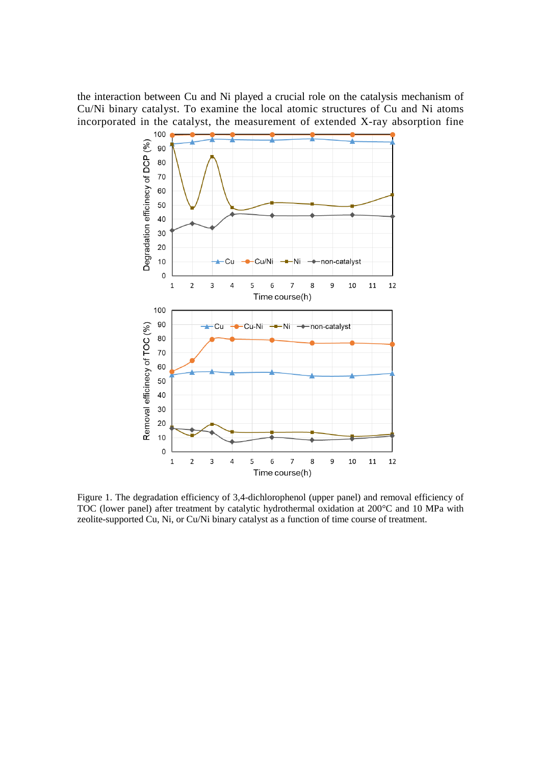the interaction between Cu and Ni played a crucial role on the catalysis mechanism of Cu/Ni binary catalyst. To examine the local atomic structures of Cu and Ni atoms incorporated in the catalyst, the measurement of extended X-ray absorption fine



Figure 1. The degradation efficiency of 3,4-dichlorophenol (upper panel) and removal efficiency of TOC (lower panel) after treatment by catalytic hydrothermal oxidation at 200°C and 10 MPa with zeolite-supported Cu, Ni, or Cu/Ni binary catalyst as a function of time course of treatment.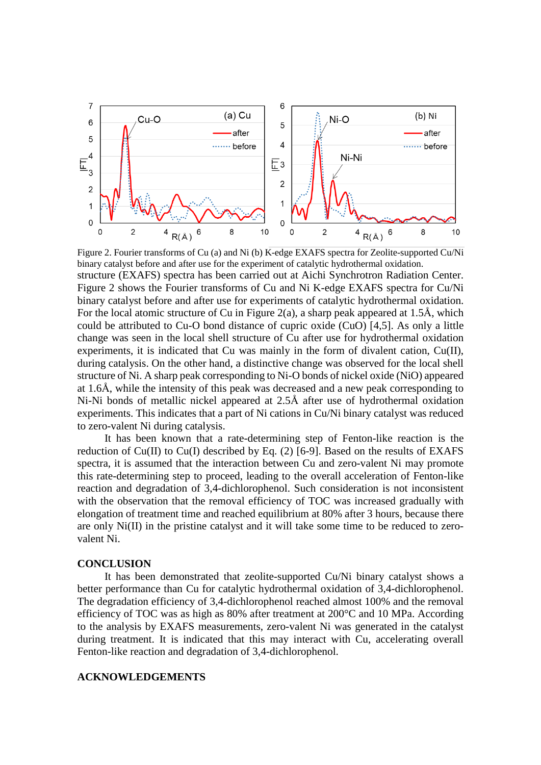

Figure 2. Fourier transforms of Cu (a) and Ni (b) K-edge EXAFS spectra for Zeolite-supported Cu/Ni binary catalyst before and after use for the experiment of catalytic hydrothermal oxidation. structure (EXAFS) spectra has been carried out at Aichi Synchrotron Radiation Center. Figure 2 shows the Fourier transforms of Cu and Ni K-edge EXAFS spectra for Cu/Ni binary catalyst before and after use for experiments of catalytic hydrothermal oxidation. For the local atomic structure of Cu in Figure 2(a), a sharp peak appeared at  $1.5\text{\AA}$ , which could be attributed to Cu-O bond distance of cupric oxide (CuO) [4,5]. As only a little change was seen in the local shell structure of Cu after use for hydrothermal oxidation experiments, it is indicated that Cu was mainly in the form of divalent cation, Cu(II), during catalysis. On the other hand, a distinctive change was observed for the local shell structure of Ni. A sharp peak corresponding to Ni-O bonds of nickel oxide (NiO) appeared at 1.6Å, while the intensity of this peak was decreased and a new peak corresponding to Ni-Ni bonds of metallic nickel appeared at 2.5Å after use of hydrothermal oxidation experiments. This indicates that a part of Ni cations in Cu/Ni binary catalyst was reduced to zero-valent Ni during catalysis.

It has been known that a rate-determining step of Fenton-like reaction is the reduction of  $Cu(II)$  to  $Cu(I)$  described by Eq. (2) [6-9]. Based on the results of EXAFS spectra, it is assumed that the interaction between Cu and zero-valent Ni may promote this rate-determining step to proceed, leading to the overall acceleration of Fenton-like reaction and degradation of 3,4-dichlorophenol. Such consideration is not inconsistent with the observation that the removal efficiency of TOC was increased gradually with elongation of treatment time and reached equilibrium at 80% after 3 hours, because there are only Ni(II) in the pristine catalyst and it will take some time to be reduced to zerovalent Ni.

#### **CONCLUSION**

It has been demonstrated that zeolite-supported Cu/Ni binary catalyst shows a better performance than Cu for catalytic hydrothermal oxidation of 3,4-dichlorophenol. The degradation efficiency of 3,4-dichlorophenol reached almost 100% and the removal efficiency of TOC was as high as 80% after treatment at 200°C and 10 MPa. According to the analysis by EXAFS measurements, zero-valent Ni was generated in the catalyst during treatment. It is indicated that this may interact with Cu, accelerating overall Fenton-like reaction and degradation of 3,4-dichlorophenol.

# **ACKNOWLEDGEMENTS**